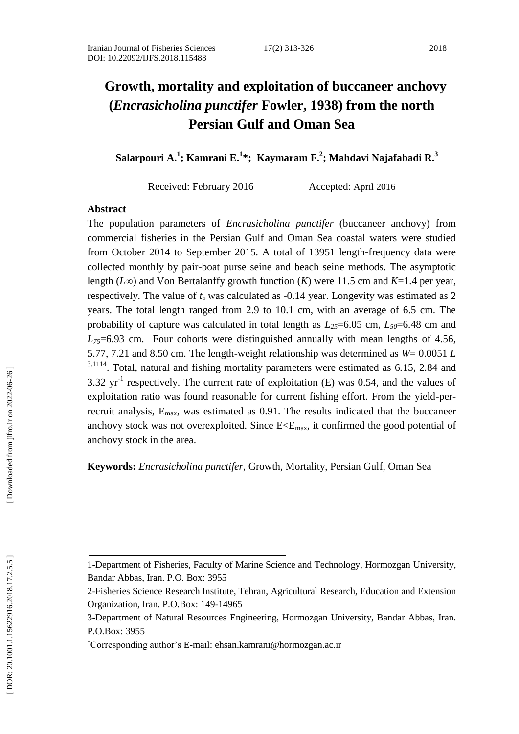#### 326 2018

# **Growth, mortality and exploitation of buccaneer anchovy (***Encrasicholina punctifer* **Fowler, 1938) from the north Persian Gulf and Oman Sea**

**Salarpouri A . 1 ; Kamrani E . 1 \* ; Kaymaram F . 2 ; Mahdavi Najafabadi R . 3**

Received: February 2016 Accepted: April 2016

# **Abstract**

The population parameters of *Encrasicholina punctifer* ( buccaneer anchovy) from commercial fisheries in the Persian Gulf and Oman Sea coastal waters were studied from October 2014 to September 2015. A total of 13951 length -frequency data were collected monthly by pair -boat purse seine and beach seine methods. The asymptotic length ( *L ∞*) and Von Bertalanffy growth function ( *K*) were 11.5 cm and *K*=1.4 per year, respectively. The value of  $t_0$  was calculated as  $-0.14$  year. Longevity was estimated as  $2$ years. The total length ranged from 2.9 to 10.1 cm, with an average of 6.5 cm. The probability of capture was calculated in total length as *L25*=6.05 cm, *L50*=6.48 cm and  $L_{75}$ =6.93 cm. Four cohorts were distinguished annually with mean lengths of 4.56, 5.77, 7.21 and 8.50 cm. The length -weight relationship was determined as *W*= 0.0051 *L* <sup>3.1114</sup>. Total, natural and fishing mortality parameters were estimated as 6.15, 2.84 and 3.32  $yr^{-1}$  respectively. The current rate of exploitation (E) was 0.54, and the values of exploitation ratio was found reasonable for current fishing effort. From the yield -per recruit analysis,  $E_{\text{max}}$ , was estimated as 0.91. The results indicated that the buccaneer anchovy stock was not overexploited. Since  $E \le E_{\text{max}}$ , it confirmed the good potential of anchovy stock in the area.

**Keywords:** *Encrasicholina punctifer*, Growth, Mortality, Persian Gulf, Oman Sea

<sup>1-</sup>Department of Fisheries, Faculty of Marine Science and Technology, Hormozgan University, Bandar Abbas, Iran. P.O. Box: 3955

<sup>2-</sup>Fisheries Science Research Institute, Tehran, Agricultural Research, Education and Extension Organization, Iran. P.O.Box: 149 -14965

<sup>3</sup> -Department of Natural Resources Engineering, Hormozgan University, Bandar Abbas, Iran. P.O.Box: 3955

Corresponding author's E -mail: ehsan.kamrani@hormozgan.ac.ir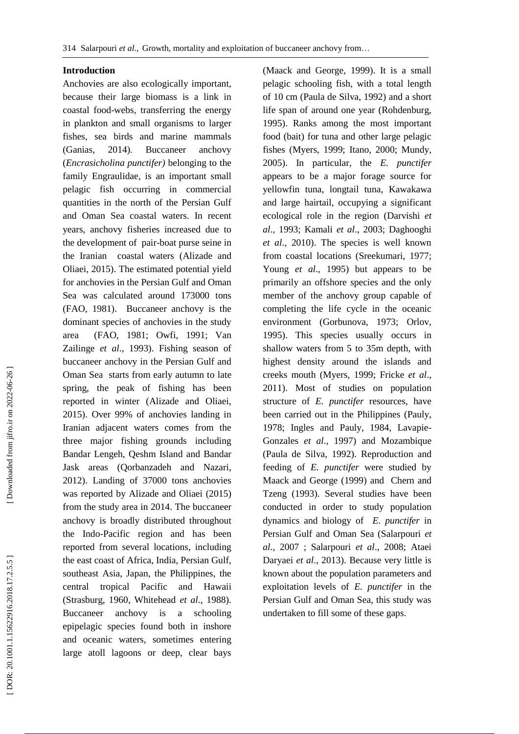# **Introduction**

Anchovies are also ecologically important, because their large biomass is a link in coastal food -webs, transferring the energy in plankton and small organisms to larger fishes, sea birds and marine mammals (Ganias, 2014). Buccaneer anchovy (*Encrasicholina punctifer)* belonging to the family Engraulidae*,* is an important small pelagic fish occurring in commercial quantities in the north of the Persian Gulf and Oman Sea coastal waters. In recent years, anchovy fisheries increased due to the development of pair -boat purse seine in the Iranian coastal waters (Alizade and Oliaei, 2015 ). The estimated potential yield for anchovies in the Persian Gulf and Oman Sea was calculated around 173000 tons (FAO, 1981). Buccaneer anchovy is the dominant species of anchovies in the study area (FAO, 1981 ; Owfi, 1991; Van Zailinge *et al*., 1993 ) . Fishing season of buccaneer anchovy in the Persian Gulf and Oman Sea starts from early autumn to late spring, the peak of fishing has been reported in winter (Alizade and Oliaei, 2015 ). Over 99% of anchovies landing in Iranian adjacent waters comes from the three major fishing grounds including Bandar Lengeh, Qeshm Island and Bandar Jask areas (Qorbanzadeh and Nazari, 2012 ). Landing of 37000 tons anchovies was reported by Alizade and Oliaei (2015 ) from the study area in 2014. The buccaneer anchovy is broadly distributed throughout the Indo -Pacific region and has been reported from several locations, including the east coast of Africa, India, Persian Gulf, southeast Asia, Japan, the Philippines, the central tropical Pacific and Hawaii (Strasburg, 1960, Whitehead *et al*., 1988). Buccaneer anchovy is a schooling epipelagic species found both in inshore and oceanic waters, sometimes entering large atoll lagoons or deep, clear bays

(Maack and George, 1999 ). It is a small pelagic schooling fish, with a total length of 10 cm (Paula de Silva, 1992 ) and a short life span of around one year (Rohdenburg, 1995 ). Ranks among the most important food (bait) for tuna and other large pelagic fishes (Myers, 1999; Itano, 2000 ; Mundy, 2005 ). In particular, the *E . punctifer* appears to be a major forage source for yellowfin tuna, longtail tuna, Kawa kawa and large hairtail, occupying a significant ecological role in the region (Darvishi *et al*., 1993; Kamali *et al*., 2003; Daghooghi *et al*., 2010 ). The species is well known from coastal locations (Sreekumari, 1977; Young *et al*., 1995 ) but appears to be primarily an offshore species and the only member of the anchovy group capable of completing the life cycle in the oceanic environment (Gorbunova, 1973; Orlov, 1995 ). This species usually occurs in shallow waters from 5 to 35m depth, with highest density around the islands and creeks mouth (Myers, 1999; Fricke *et al*., 2011 ). Most of studies on population structure of *E. punctifer* resources, have been carried out in the Philippines (Pauly, 1978; Ingles and Pauly, 1984, Lavapie - Gonzales *et al*., 1997 ) and Mozambique (Paula de Silva, 1992 ). Reproduction and feeding of *E. punctifer* were studied by Maack and George (1999 ) and Chern and Tzeng (1993 ). Several studies have been conducted in order to study population dynamics and biology of *E. punctifer* in Persian Gulf and Oman Sea (Salarpouri *et al*., 2007 ; Salarpouri *et al*., 2008; Ataei Daryaei *et al*., 2013). Because very little is known about the population parameters and exploitation levels of *E. punctifer* in the Persian Gulf and Oman Sea, this study was undertaken to fill some of these gaps.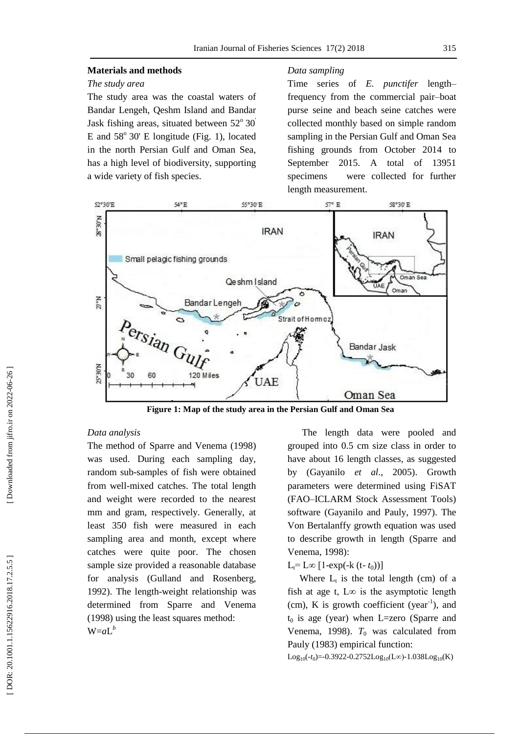#### **Materials and methods**

# *The study area*

The study area was the coastal waters of Bandar Lengeh, Qeshm Island and Bandar Jask fishing areas, situated between  $52^{\circ}30'$ E and  $58^{\circ}$  30' E longitude (Fig. 1), located in the north Persian Gulf and Oman Sea, has a high level of biodiversity, supporting a wide variety of fish species.

#### *Data sampling*

Time series of *E. punctifer* length – frequency from the commercial pair –boat purse seine and beach seine catches were collected monthly based on simple random sampling in the Persian Gulf and Oman Sea fishing grounds from October 2014 to September 2015. A total of 13951 specimens were collected for further length measurement.



**Figure 1 : Map of the study area in the Persian Gulf and Oman Sea**

# *Data analysis*

The method of Sparre and Venema (1998 ) was used. During each sampling day, random sub -samples of fish were obtained from well -mixed catches. The total length and weight were recorded to the nearest mm and gram, respectively. Generally, at least 350 fish were measured in each sampling area and month, except where catches were quite poor. The chosen sample size provided a reasonable database for analysis (Gulland and Rosenberg, 1992 ). The length -weight relationship was determined from Sparre and Venema (1998 ) using the least squares method:  $W=aL^b$ 

 The length data were pooled and grouped into 0.5 cm size class in order to have about 16 length classes, as suggested by (Gayanilo *et al*., 2005 ). Growth parameters were determined using FiSAT (FAO –ICLARM Stock Assessment Tools) software (Gayanilo and Pauly, 1997 ). The Von Bertalanffy growth equation was used to describe growth in length (Sparre and Venema, 1998 ) :

# L<sub>t</sub>= L∞ [1-exp(-k (t- t<sub>0</sub>))]

Where  $L_t$  is the total length (cm) of a fish at age t,  $L\infty$  is the asymptotic length  $(cm), K$  is growth coefficient (year<sup>-1</sup>), and t <sup>0</sup> is age (year) when L=zero (Sparre and Venema, 1998).  $T_0$  was calculated from Pauly (1983 ) empirical function:

Log<sub>10</sub>(-t<sub>0</sub>)=-0.3922-0.2752Log<sub>10</sub>(L∞)-1.038Log<sub>10</sub>(K)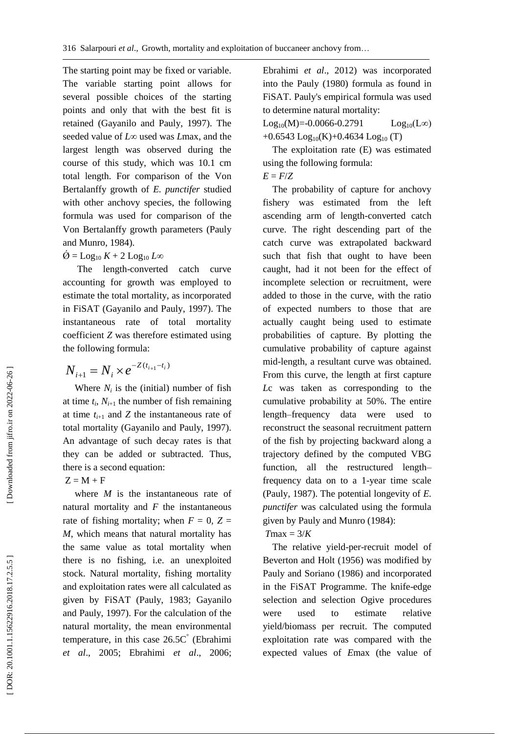The starting point may be fixed or variable. The variable starting point allows for several possible choices of the starting points and only that with the best fit is retained (Gayanilo and Pauly, 1997 ). The seeded value of *L*∞ used was *L*max, and the largest length was observed during the course of this study, which was 10.1 cm total length. For comparison of the Von Bertalanffy growth of *E. punctifer* studied with other anchovy species, the following formula was used for comparison of the Von Bertalanffy growth parameters (Pauly and Munro, 1984 ) .

# $\varnothing =$  Log<sub>10</sub>  $K + 2$  Log<sub>10</sub> L $\infty$

 The length -converted catch curve accounting for growth was employed to estimate the total mortality, as incorporated in FiSAT (Gayanilo and Pauly, 1997 ). The instantaneous rate of total mortality coefficient *Z* was therefore estimated using the following formula:

$$
N_{i+1} = N_i \times e^{-Z(t_{i+1} - t_i)}
$$

Where  $N_i$  is the (initial) number of fish at time  $t_i$ ,  $N_{i+1}$  the number of fish remaining at time  $t_{i+1}$  and  $Z$  the instantaneous rate of total mortality (Gayanilo and Pauly, 1997 ). An advantage of such decay rates is that they can be added or subtracted. Thus, there is a second equation:

 $Z = M + F$ 

where *M* is the instantaneous rate of natural mortality and *F* the instantaneous rate of fishing mortality; when  $F = 0$ ,  $Z =$ *M*, which means that natural mortality has the same value as total mortality when there is no fishing, i.e. an unexploited stock. Natural mortality, fishing mortality and exploitation rates were all calculated as given by FiSAT (Pauly, 1983; Gayanilo and Pauly, 1997 ). For the calculation of the natural mortality, the mean environmental temperature, in this case 26.5C ° (Ebrahimi *et al*., 2005; Ebrahimi *et al*., 2006;  $N_{i+1} = N_i \times e^{-Z(t_{i+1}-\epsilon_i)}$  From this curve, the length at Fixt cupture<br>
Where *N<sub>i</sub>* is the (imitial) number of Fish  $L\epsilon$  was taken as corresponding to the<br>
at time  $t_i$ ,  $N_{i+1}$  the number of fish remaining<br>
at time  $t$ 

Ebrahimi *et al*., 2012 ) was incorporated into the Pauly (1980 ) formula as found in FiSAT. Pauly's empirical formula was used to determine natural mortality:

 $Log_{10}(M)=0.0066$  $Log_{10}(L\infty)$  $+0.6543$  Log<sub>10</sub>(K) $+0.4634$  Log<sub>10</sub>(T)

 The exploitation rate (E) was estimated using the following formula:  $E = F/Z$ 

 The probability of capture for anchovy fishery was estimated from the left ascending arm of length -converted catch curve. The right descending part of the catch curve was extrapolated backward such that fish that ought to have been caught, had it not been for the effect of incomplete selection or recruitment, were added to those in the curve, with the ratio of expected numbers to those that are actually caught being used to estimate probabilities of capture. By plotting the cumulative probability of capture against mid -length, a resultant curve was obtained. From this curve, the length at first capture *L*c was taken as corresponding to the cumulative probability at 50%. The entire length –frequency data were used to reconstruct the seasonal recruitment pattern of the fish by projecting backward along a trajectory defined by the computed VBG function, all the restructured length – frequency data on to a 1 -year time scale (Pauly, 1987 ). The potential longevity of *E. punctifer* was calculated using the formula given by Pauly and Munro (1984 ) :  $T$ max =  $3/K$ 

 The relative yield -per -recruit model of Beverton and Holt (1956 ) was modified by Pauly and Soriano (1986 ) and incorporated in the FiSAT Programme. The knife-edge selection and selection Ogive procedures were used to estimate relative yield/biomass per recruit. The computed exploitation rate was compared with the expected values of Emax (the value of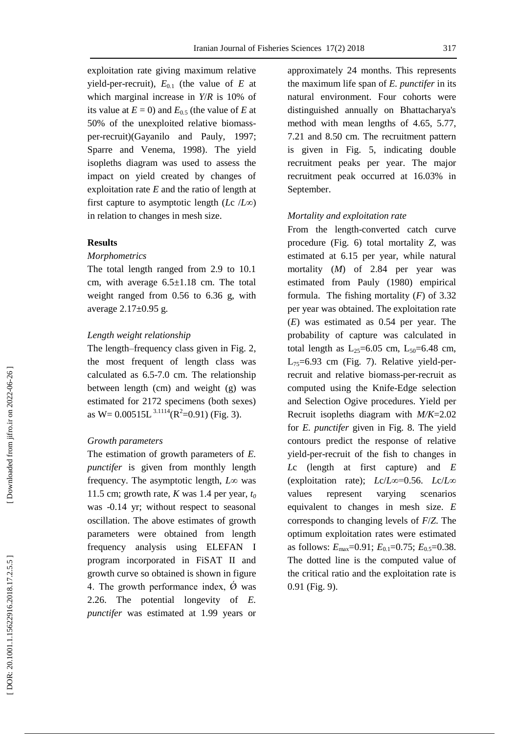exploitation rate giving maximum relative yield-per-recruit),  $E_{0,1}$  (the value of  $E$  at which marginal increase in *Y*/*R* is 10% of its value at  $E = 0$ ) and  $E_{0.5}$  (the value of  $E$  at 50% of the unexploited relative biomass per -recruit) (Gayanilo and Pauly, 1997; Sparre and Venema, 1998 ) . The yield isopleths diagram was used to assess the impact on yield created by changes of exploitation rate *E* and the ratio of length at first capture to asymptotic length ( *L*c /*L* ∞) in relation to changes in mesh size.

# **Results**

#### *Morphometrics*

The total length ranged from 2.9 to 10.1 cm, with average 6.5±1.18 cm. The total weight ranged from 0.56 to 6.36 g, with average 2.17±0.95 g.

#### *Length weight relationship*

The length –frequency class given in Fig. 2, the most frequent of length class was calculated as 6.5 -7.0 cm. The relationship between length (cm) and weight (g) was estimated for 2172 specimens (both sexes) as  $W = 0.00515L^{3.1114}(R^2=0.91)$  (Fig. 3).

# *Growth parameters*

The estimation of growth parameters of *E. punctifer* is given from monthly length frequency. The asymptotic length, *L*∞ was 11.5 cm; growth rate,  $K$  was 1.4 per year,  $t_0$ was -0.14 yr; without respect to seasonal oscillation. The above estimates of growth parameters were obtained from length frequency analysis using ELEFAN I program incorporated in FiSAT II and growth curve so obtained is shown in figure 4. The growth performance index,  $\acute{\varnothing}$  was 2.26. The potential longevity of *E. punctifer* was estimated at 1.99 years or

approximately 24 months. This represents the maximum life span of *E. punctifer* in its natural environment. Four cohorts were distinguished annually on Bhattacharya's method with mean lengths of 4.65, 5.77, 7.21 and 8.50 cm. The recruitment pattern is given in Fig . 5, indicating double recruitment peaks per year. The major recruitment peak occurred at 16.03% in September.

# *Mortality and exploitation rate*

From the length -converted catch curve procedure (Fig. 6) total mortality *Z*, was estimated at 6.15 per year, while natural mortality ( *M*) of 2.84 per year was estimated from Pauly (1980) empirical formula. The fishing mortality ( *F*) of 3.32 per year was obtained. The exploitation rate (*E*) was estimated as 0.54 per year. The probability of capture was calculated in total length as  $L_{25}=6.05$  cm,  $L_{50}=6.48$  cm,  $L_{75}=6.93$  cm (Fig. 7). Relative yield-perrecruit and relative biomass-per-recruit as computed using the Knife -Edge selection and Selection Ogive procedures. Yield per Recruit isopleths diagram with *M/K*=2.02 for *E. punctifer* given in Fig. 8. The yield contours predict the response of relative yield -per -recruit of the fish to changes in *L*c (length at first capture) and *E*  (exploitation rate); *L*c/*L*∞=0.56. *L*c/*L*∞ values represent varying scenarios equivalent to changes in mesh size. *E* corresponds to changing levels of *F*/*Z*. The optimum exploitation rates were estimated as follows:  $E_{\text{max}}$ =0.91;  $E_{0.1}$ =0.75;  $E_{0.5}$ =0.38. The dotted line is the computed value of the critical ratio and the exploitation rate is 0.91 (Fig. 9).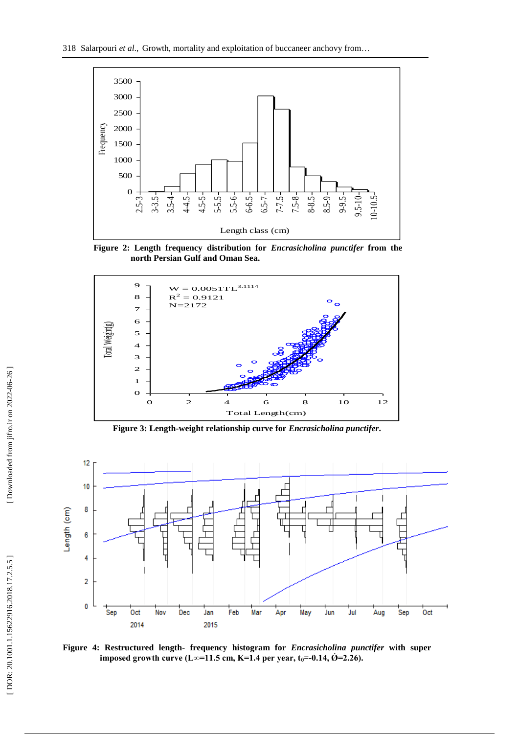



**Figure 2 : Length frequency distribution for** *Encrasicholina punctifer* **from the north Persian Gulf and Oman Se a .**



**Figure 3 : Length - weight relationship curve for** *Encrasicholina punctifer* **.**



**Figure 4 : Restructured length - frequency histogram for** *Encrasicholina punctifer* **with super**   $\mathbf{imposed}$  growth curve (L∞=11.5 cm, K=1.4 per year, t $_0$ =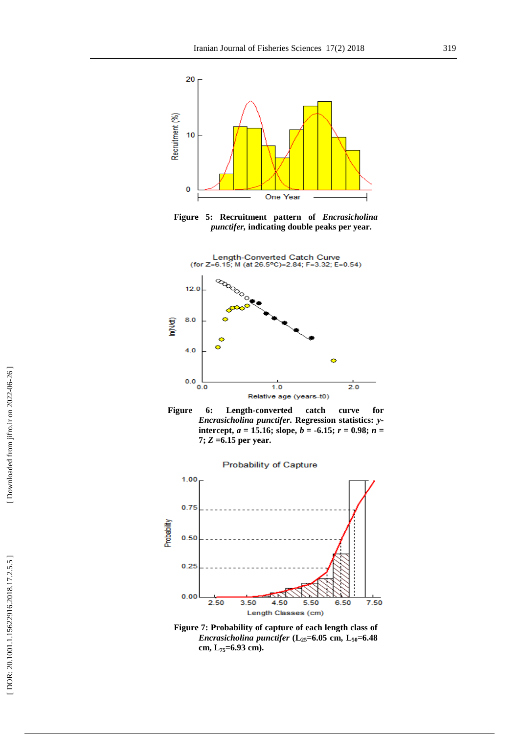

**Figure 5: Recruitment pattern of** *Encrasicholina punctifer,* **indicating double peaks per year.**







**Figure 7 : Probability of capture of each length class of**  *Encrasicholina punctifer*  $(L_{25} = 6.05 \text{ cm}, L_{50} = 6.48)$ **cm, L75=6.93 cm).**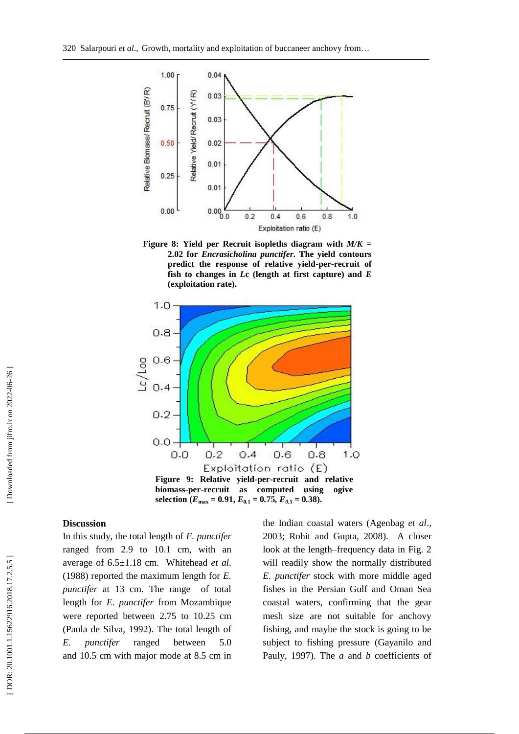

**Figure 8 : Yield per Recruit isopleths diagram with** *M/K* **= 2.02 for** *Encrasicholina punctifer***. The yield contours predict the response of relative yield -per -recruit of fish to changes in**  *L***c (length at first capture) and** *E*  **(exploitation rate).**



#### **Discussion**

In this study, the total length of *E. punctifer*  ranged from 2.9 to 10.1 cm, with an average of 6.5±1.18 cm. Whitehead *et al*. (1988 ) reported the maximum length for *E. punctifer* at 13 cm. The range of total length for *E. punctifer* from Mozambique were reported between 2.75 to 10.25 cm (Paula de Silva, 1992). The total length of *E. punctifer* ranged between 5.0 and 10.5 cm with major mode at 8.5 cm in

the Indian coastal waters (Agenbag *et al*., 2003; Rohit and Gupta, 2008 ). A closer look at the length –frequency data in Fig. 2 will readily show the normally distributed *E. punctifer* stock with more middle aged fishes in the Persian Gulf and Oman Sea coastal waters, confirming that the gear mesh size are not suitable for anchovy fishing, and maybe the stock is going to be subject to fishing pressure (Gayanilo and Pauly, 1997 ). The *a* and *b* coefficients of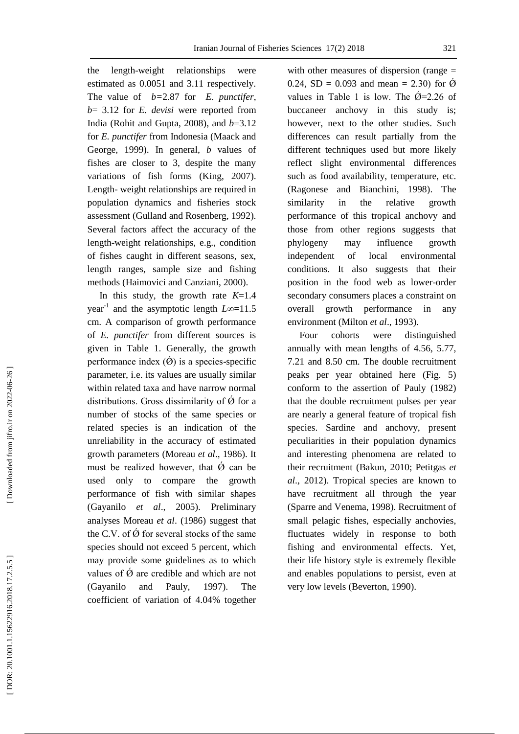the length-weight relationships were estimated as 0.0051 and 3.11 respectively. The value of *b=*2.87 for *E. punctifer*, *b*= 3.12 for *E. devisi* were reported from India (Rohit and Gupta, 2008 ), and *b*=3.12 for *E. punctifer* from Indonesia (Maack and George, 1999 ). In general, *b* values of fishes are closer to 3, despite the many variations of fish forms (King, 2007 ) . Length - weight relationships are required in population dynamics and fisheries stock assessment (Gulland and Rosenberg, 1992 ). Several factors affect the accuracy of the length -weight relationships, e.g., condition of fishes caught in different seasons, sex, length ranges, sample size and fishing methods (Haimovici and Canziani, 2000 ) .

In this study, the growth rate  $K=1.4$ year<sup>-1</sup> and the asymptotic length *L*∞=11.5 cm. A comparison of growth performance of *E. punctifer* from different sources is given in Table 1. Generally, the growth performance index  $(\emptyset)$  is a species-specific parameter, i.e. its values are usually similar within related taxa and have narrow normal distributions. Gross dissimilarity of  $\acute{\varnothing}$  for a number of stocks of the same species or related species is an indication of the unreliability in the accuracy of estimated growth parameters (Moreau *et al*., 1986 ). It must be realized however, that  $\hat{O}$  can be used only to compare the growth performance of fish with similar shapes (Gayanilo *et al*., 2005). Preliminary analyses Moreau *et al*. (1986 ) suggest that the C.V. of  $\acute{\varnothing}$  for several stocks of the same species should not exceed 5 percent, which may provide some guidelines as to which values of  $\acute{\varnothing}$  are credible and which are not (Gayanilo and Pauly, 1997). The coefficient of variation of 4.04% together

with other measures of dispersion (range = 0.24, SD = 0.093 and mean = 2.30) for  $\acute{\text{O}}$ values in Table 1 is low. The  $\acute{\text{O}}=2.26$  of buccaneer anchovy in this study is; however, next to the other studies. Such differences can result partially from the different techniques used but more likely reflect slight environmental differences such as food availability, temperature, etc. (Ragonese and Bianchini, 1998). The similarity in the relative growth performance of this tropical anchovy and those from other regions suggests that phylogeny may influence growth independent of local environmental conditions. It also suggests that their position in the food web as lower -order secondary consumers places a constraint on overall growth performance in any environment (Milton et al., 1993).

 Four cohorts were distinguished annually with mean lengths of 4.56, 5.77, 7.21 and 8.50 cm. The double recruitment peaks per year obtained here (Fig. 5) conform to the assertion of Pauly (1982 ) that the double recruitment pulses per year are nearly a general feature of tropical fish species. Sardine and anchovy, present peculiarities in their population dynamics and interesting phenomena are related to their recruitment (Bakun, 2010; Petitgas *et al*., 2012 ). Tropical species are known to have recruitment all through the year (Sparre and Venema, 1998). Recruitment of small pelagic fishes, especially anchovies, fluctuates widely in response to both fishing and environmental effects. Yet, their life history style is extremely flexible and enables populations to persist, even at very low levels (Beverton, 1990 ) .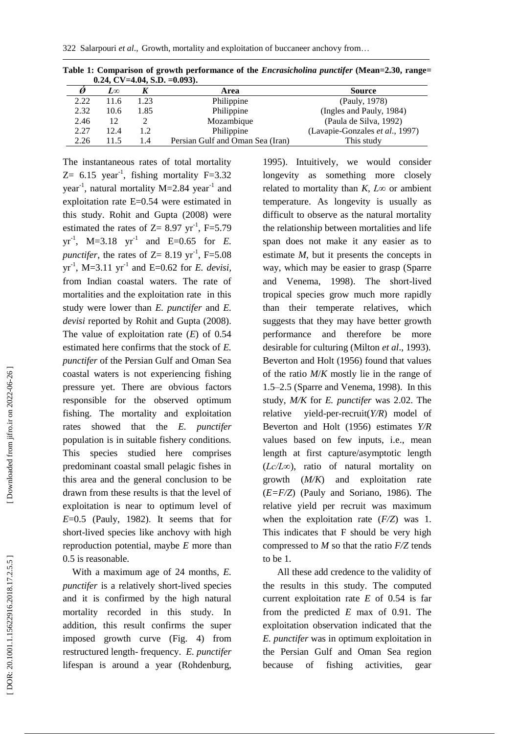| $v_i = v_i$ |      |      |                                  |                                 |
|-------------|------|------|----------------------------------|---------------------------------|
|             | 7.∞  |      | Area                             | <b>Source</b>                   |
| 2.22        | 11.6 | 1.23 | Philippine                       | (Pauly, 1978)                   |
| 2.32        | 10.6 | 1.85 | Philippine                       | (Ingles and Pauly, 1984)        |
| 2.46        | 12   |      | Mozambique                       | (Paula de Silva, 1992)          |
| 2.27        | 12.4 | 1.2  | Philippine                       | (Lavapie-Gonzales et al., 1997) |
| 2.26        | 115  | 1.4  | Persian Gulf and Oman Sea (Iran) | This study                      |

**Table 1 : Comparison of growth performance of the** *Encrasicholina punctifer* **(Mean=2.30, range= 0***.***24, CV=4.04, S.D. =0.093).**

The instantaneous rates of total mortality  $Z=$  6.15 year<sup>-1</sup>, fishing mortality F=3.32 year<sup>-1</sup>, natural mortality M=2.84 year<sup>-1</sup> and exploitation rate E=0.54 were estimated in this study. Rohit and Gupta (2008 ) were estimated the rates of  $Z = 8.97$  yr<sup>-1</sup>, F=5.79  $yr^{-1}$ , M=3.18  $yr^{-1}$  and E=0.65 for *E*. *punctifer*, the rates of  $Z = 8.19$  yr<sup>-1</sup>, F=5.08  $yr^{-1}$ , M=3.11  $yr^{-1}$  and E=0.62 for *E. devisi*, from Indian coastal waters. The rate of mortalities and the exploitation rate in this study were lower than *E. punctifer* and *E. devisi* reported by Rohit and Gupta (2008 ). The value of exploitation rate ( *E*) of 0.54 estimated here confirms that the stock of *E. punctifer* of the Persian Gulf and Oman Sea coastal waters is not experiencing fishing pressure yet. There are obvious factors responsible for the observed optimum fishing. The mortality and exploitation rates showed that the *E. punctifer* population is in suitable fishery conditions. This species studied here comprises predominant coastal small pelagic fishes in this area and the general conclusion to be drawn from these results is that the level of exploitation is near to optimum level of *E*=0.5 (Pauly, 1982). It seems that for short -lived species like anchovy with high reproduction potential, maybe *E* more than 0.5 is reasonable.

 With a maximum age of 24 months, *E. punctifer* is a relatively short -lived species and it is confirmed by the high natural mortality recorded in this study. In addition, this result confirms the super imposed growth curve (Fig. 4) from restructured length - frequency. *E. punctifer* lifespan is around a year (Rohdenburg,

1995 ). Intuitively, we would consider longevity as something more closely related to mortality than  $K$ ,  $L \infty$  or ambient temperature. As longevity is usually as difficult to observe as the natural mortality the relationship between mortalities and life span does not make it any easier as to estimate *M*, but it presents the concepts in way, which may be easier to grasp (Sparre and Venema, 1998 ). The short -lived tropical species grow much more rapidly than their temperate relatives, which suggests that they may have better growth performance and therefore be more desirable for culturing (Milton *et al*., 1993 ) . Beverton and Holt (1956 ) found that values of the ratio *M*/ *K* mostly lie in the range of 1.5 –2.5 (Sparre and Venema, 1998 ). In this study, *M/K* for *E. punctifer* was 2.02. The relative -per -recruit(*Y/R*) model of Beverton and Holt (1956 ) estimates *Y/R* values based on few inputs, i.e., mean length at first capture/asymptotic length (*Lc/L∞*), ratio of natural mortality on growth (*M/K*) and exploitation rate (*E=F/Z*) (Pauly and Soriano, 1986). The relative yield per recruit was maximum when the exploitation rate (*F/Z*) was 1. This indicates that F should be very high compressed to *M* so that the ratio *F/Z* tends to be 1.

 All these add credence to the validity of the results in this study. The computed current exploitation rate *E* of 0.54 is far from the predicted *E* max of 0.91. The exploitation observation indicated that the *E. punctifer* was in optimum exploitation in the Persian Gulf and Oman Sea region because of fishing activities, gear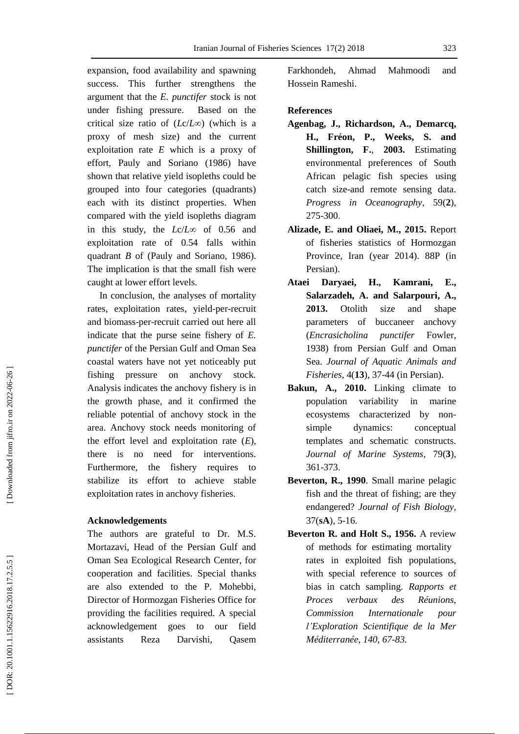expansion, food availability and spawning success. This further strengthens the argument that the *E. punctifer* stock is not under fishing pressure. Based on the critical size ratio of ( *L*c/*L* ∞) (which is a proxy of mesh size) and the current exploitation rate *E* which is a proxy of effort, Pauly and Soriano (1986 ) have shown that relative yield isopleths could be grouped into four categories (quadrants) each with its distinct properties. When compared with the yield isopleths diagram in this study, the *L*c/*L*∞ of 0.56 and exploitation rate of 0.54 falls within quadrant *B* of (Pauly and Soriano, 1986 ). The implication is that the small fish were caught at lower effort levels.

 In conclusion, the analyses of mortality rates, exploitation rates, yield-per-recruit and biomass -per -recruit carried out here all indicate that the purse seine fishery of *E. punctifer* of the Persian Gulf and Oman Sea coastal waters have not yet noticeably put fishing pressure on anchovy stock. Analysis indicates the anchovy fishery is in the growth phase, and it confirmed the reliable potential of anchovy stock in the area. Anchovy stock needs monitoring of the effort level and exploitation rate ( *E*), there is no need for interventions. Furthermore, the fishery requires to stabilize its effort to achieve stable exploitation rates in anchovy fisheries.

# **Acknowledgements**

The authors are grateful to Dr. M.S. Mortazavi, Head of the Persian Gulf and Oman Sea Ecological Research Center, for cooperation and facilities. Special thanks are also extended to the P. Mohebbi, Director of Hormozgan Fisheries Office for providing the facilities required. A special acknowledgement goes to our field assistants Reza Darvishi, Qasem

Farkhondeh, Ahmad Mahmoodi and Hossein Rameshi.

### **References**

- **Agenbag , J., Richardson , A., Demarcq , H., Fréon , P., Weeks , S. and Shillington , F.** , **2003.** Estimating environmental preferences of South African pelagic fish species using catch size -and remote sensing data. *Progress in Oceanography*, 59( **2**), 275 -300 .
- **Alizade , E. and Oliaei , M., 2015.** Report of fisheries statistics of Hormozgan Province, Iran (year 2014). 88P (in Persian).
- **Ataei Daryaei , H., Kamrani , E., Salarzadeh , A. and Salarpouri , A., 2013.** Otolith size and shape parameters of buccaneer anchovy (*Encrasicholina punctifer* Fowler, 1938) from Persian Gulf and Oman Sea. *Journal of Aquatic Animals and Fisheries*, 4(**13**), 37 -44 (in Persian).
- **Bakun , A., 2010.** Linking climate to population variability in marine ecosystems characterized by non simple dynamics: conceptual templates and schematic constructs. *Journal of Marine Systems*, 79 ( **3**), 361 -373 .
- **Beverton , R., 1990**. Small marine pelagic fish and the threat of fishing; are they endangered? *Journal of Fish Biology*, 37 (**sA** ), 5 -16 .
- **Beverton R. and Holt S., 1956.** A review of methods for estimating mortality rates in exploited fish populations, with special reference to sources of bias in catch sampling. *Rapports et Proces verbaux des Réunions, Commission Internationale pour l'Exploration Scientifique de la Mer Méditerranée, 140, 67 -83.*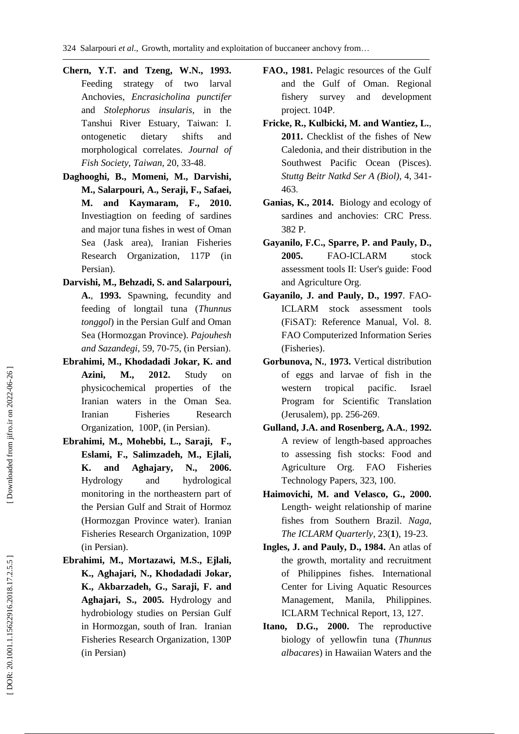- 324 Salarpouri *et al*., Growth, mortality and exploitation of buccaneer anchovy from …
- **Chern , Y.T. and Tzeng , W.N., 1993.** Feeding strategy of two larval Anchovies, *Encrasicholina punctifer*  and *Stolephorus insularis*, in the Tanshui River Estuary, Taiwan: I. ontogenetic dietary shifts and morphological correlates. *Journal of Fish Society, Taiwan*, 20, 33 -48 .
- **Daghooghi, B., Momeni, M., Darvishi, M., Salarpouri, A., Seraji, F., Safaei, M. and Kaymaram, F., 2010.** Investiagtion on feeding of sardines and major tuna fishes in west of Oman Sea (Jask area), Iranian Fisheries Research Organization , 117P (in Persian).
- **Darvishi, M., Behzadi, S. and Salarpouri, A.**, **1993.** Spawning, fecundity and feeding of longtail tuna (*Thunnus tonggol*) in the Persian Gulf and Oman Sea (Hormozgan Province). *Pajouhesh and Sazandegi*, 59, 70 -75, (in Persian).
- **Ebrahimi, M., Khodadadi Jokar, K. and Azini, M., 2012.** Study on physicochemical properties of the Iranian waters in the Oman Sea. Iranian Fisheries Research Organization, 100P, (in Persian) .
- **Ebrahimi, M., Mohebbi, L., Saraji, F., Eslami, F., Salimzadeh, M., Ejlali, K. and Aghajary, N., 2006.** Hydrology and hydrological monitoring in the northeastern part of the Persian Gulf and Strait of Hormoz (Hormozgan Province water). Iranian Fisheries Research Organization , 109P (in Persian) .
- **Ebrahimi, M., Mortazawi, M.S., Ejlali, K., Aghajari, N., Khodadadi Jokar, K., Akbarzadeh, G., Saraji, F. and Aghajari, S., 2005.** Hydrology and hydrobiology studies on Persian Gulf in Hormozgan, south of Iran. Iranian Fisheries Research Organization, 130P (in Persian)
- **FAO., 1981.** Pelagic resources of the Gulf and the Gulf of Oman. Regional fishery survey and development project. 104P .
- **Fricke , R., Kulbicki , M. and Wantiez , L.**, **2011.** Checklist of the fishes of New Caledonia, and their distribution in the Southwest Pacific Ocean (Pisces). *Stuttg Beitr Natkd Ser A (Biol)*, 4, 341 - 463 .
- **Ganias , K., 2014.** Biology and ecology of sardines and anchovies: CRC Press . 382 P.
- **Gayanilo , F.C., Sparre , P. and Pauly , D., 2005.** FAO-ICLARM stock assessment tools II: User's guide: Food and Agriculture Org .
- **Gayanilo , J. and Pauly , D., 1997**. FAO ICLARM stock assessment tools (FiSAT): Reference Manual, Vol. 8. FAO Computerized Information Series (Fisheries).
- **Gorbunova , N.**, **1973.** Vertical distribution of eggs and larvae of fish in the western tropical pacific. Israel Program for Scientific Translation (Jerusalem), pp. 256 -269 .
- **Gulland , J.A. and Rosenberg , A.A.**, **1992.**  A review of length -based approaches to assessing fish stocks : Food and Agriculture Org. . FAO Fisheries Technology Papers, 323, 100.
- **Haimovichi , M. and Velasco , G., 2000.**  Length - weight relationship of marine fishes from Southern Brazil. *Naga, The ICLARM Quarterly*, 23( **1**), 19 -23.
- **Ingles, J. and Pauly, D., 1984.** An atlas of the growth, mortality and recruitment of Philippines fishes. International Center for Living Aquatic Resources Management, Manila, Philippines. ICLARM Technical Report, 13, 127 .
- **Itano, D.G., 2000.** The reproductive biology of yellowfin tuna (*Thunnus albacares*) in Hawaiian Waters and the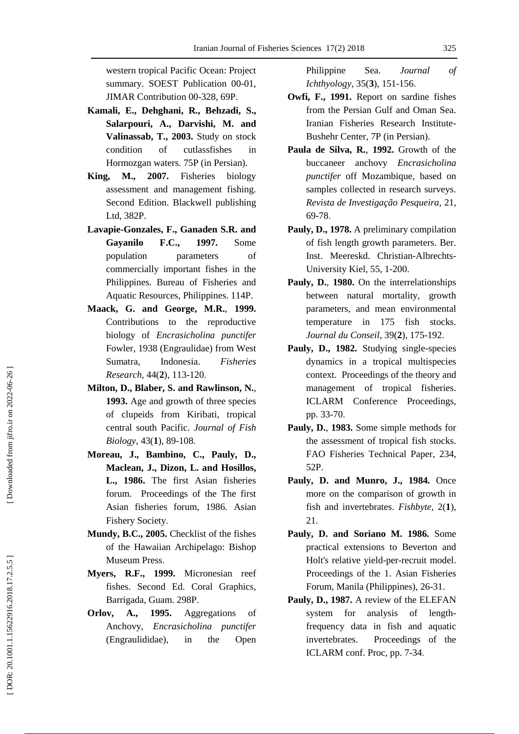western tropical Pacific Ocean: Project summary. SOEST Publication 00-01, JIMAR Contribution 00 -328, 69P.

- **Kamali , E., Dehghani , R., Behzadi , S., Salarpouri , A., Darvishi , M. and Valinassab , T., 2003.** Study on stock condition of cutlassfishes in Hormozgan waters. 75P (in Persian).
- **King, M., 2007.** Fisheries biology assessment and management fishing. Second Edition. Blackwell publishing Ltd, 382P.
- **Lavapie -Gonzales, F., Ganaden S.R. and Gayanilo F.C., 1997.** Some population parameters of commercially important fishes in the Philippines. Bureau of Fisheries and Aquatic Resources, Philippines. 114P.
- **Maack , G. and George , M.R.** , **1999.**  Contributions to the reproductive biology of *Encrasicholina punctifer* Fowler, 1938 (Engraulidae) from West Sumatra, Indonesia. *Fisheries Research*, 44( **2**), 113 -120 .
- **Milton , D., Blaber , S. and Rawlinson , N.** , **1993.** Age and growth of three species of clupeids from Kiribati, tropical central south Pacific. *Journal of Fish*  Biology, 43(1), 89-108.
- **Moreau , J., Bambino , C., Pauly , D., Maclean , J., Dizon , L. and Hosillos , L., 1986.** The first Asian fisheries forum. Proceedings of the The first Asian fisheries forum*,* 1986 *.* Asian Fishery Society .
- **Mundy , B.C., 2005.** Checklist of the fishes of the Hawaiian Archipelago: Bishop Museum Press .
- **Myers, R.F., 1999.** Micronesian reef fishes. Second Ed. Coral Graphics, Barrigada, Guam. 298 P .
- **Orlov , A., 1995.** Aggregations of Anchovy, *Encrasicholina punctifer* (Engraulididae), in the Open

Philippine Sea. *Journal of Ichthyology*, 35 ( **3**), 151 -156 .

- **Owfi, F., 1991.** Report on sardine fishes from the Persian Gulf and Oman Sea. Iranian Fisheries Research Institute - Bushehr Center, 7P (in Persian).
- **Paula de Silva , R.** , **1992.** Growth of the b u ccaneer anchovy *Encrasicholina punctifer* off Mozambique, based on samples collected in research surveys. *Revista de Investigação Pesqueira*, 21, 69 -78 .
- **Pauly, D., 1978.** A preliminary compilation of fish length growth parameters. Ber. Inst. Meereskd. Christian -Albrechts - University Kiel, 55, 1 -200.
- **Pauly , D.**, **1980.** On the interrelationships between natural mortality, growth parameters, and mean environmental temperature in 175 fish stocks. *Journal du Conseil*, 39 ( **2**), 175 -192 .
- Pauly, D., 1982. Studying single-species dynamics in a tropical multispecies context. Proceedings of the theory and management of tropical fisheries. ICLARM Conference Proceedings, pp. 33-70.
- **Pauly , D.** , **1983.** Some simple methods for the assessment of tropical fish stocks. FAO Fisheries Technical Paper , 234, 52P.
- **Pauly , D. and Munro , J., 1984.** Once more on the comparison of growth in fish and invertebrates. *Fishbyte*, 2( **1**), 21 .
- **Pauly , D. and Soriano M. 1986.** Some practical extensions to Beverton and Holt's relative yield - per -recruit model. Proceedings of the 1. Asian Fisheries Forum, Manila (Philippines), 26-31.
- **Pauly , D., 1987.** A review of the ELEFAN system for analysis of lengthfrequency data in fish and aquatic invertebrates. Proceedings of the ICLARM conf. Proc, pp. 7-34.